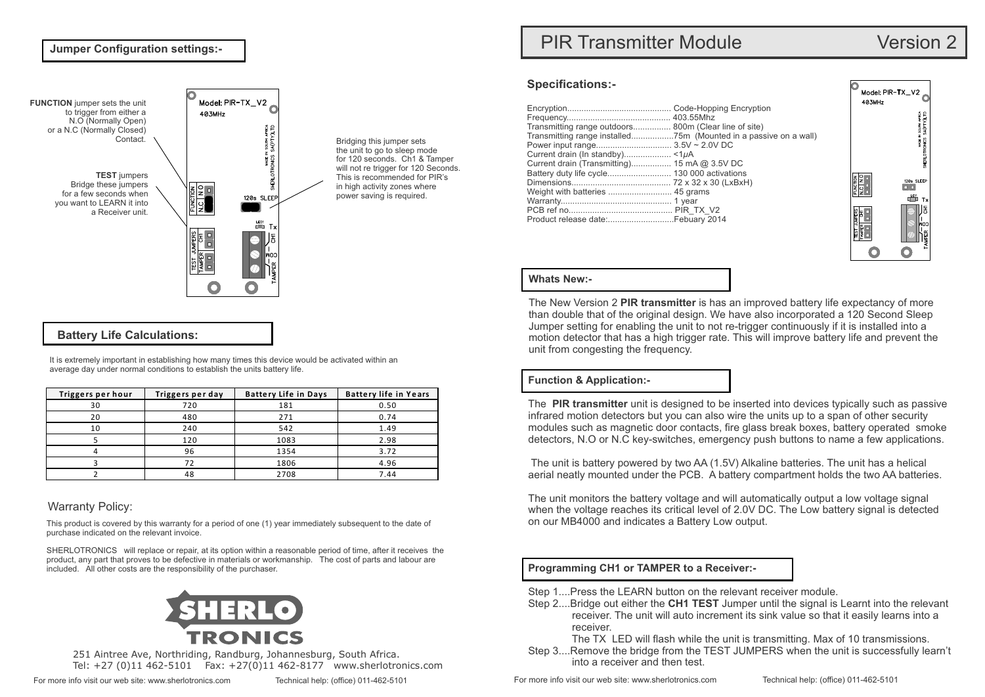### **Jumper Configuration settings:-**



Bridging this jumper sets the unit to go to sleep mode for 120 seconds. Ch1 & Tamper will not re trigger for 120 Seconds. This is recommended for PIR's in high activity zones where power saving is required.

# **Battery Life Calculations:**

It is extremely important in establishing how many times this device would be activated within an average day under normal conditions to establish the units battery life.

| Triggers per hour | Triggers per day | <b>Battery Life in Days</b> | <b>Battery life in Years</b> |
|-------------------|------------------|-----------------------------|------------------------------|
| 30                | 720              | 181                         | 0.50                         |
| 20                | 480              | 271                         | 0.74                         |
| 10                | 240              | 542                         | 1.49                         |
|                   | 120              | 1083                        | 2.98                         |
|                   | 96               | 1354                        | 3.72                         |
|                   | 72               | 1806                        | 4.96                         |
|                   | 48               | 2708                        | 7.44                         |

# Warranty Policy:

This product is covered by this warranty for a period of one (1) year immediately subsequent to the date of purchase indicated on the relevant invoice.

SHERLOTRONICS will replace or repair, at its option within a reasonable period of time, after it receives the product, any part that proves to be defective in materials or workmanship. The cost of parts and labour are included. All other costs are the responsibility of the purchaser.



251 Aintree Ave, Northriding, Randburg, Johannesburg, South Africa. Tel: +27 (0)11 462-5101 Fax: +27(0)11 462-8177 www.sherlotronics.com

# PIR Transmitter Module Version 2

### **Specifications:-**

| Transmitting range outdoors 800m (Clear line of site)<br>Current drain (Transmitting) 15 mA @ 3.5V DC |  |
|-------------------------------------------------------------------------------------------------------|--|
|                                                                                                       |  |
|                                                                                                       |  |



# **Whats New:-**

The New Version 2 **PIR transmitter** is has an improved battery life expectancy of more than double that of the original design. We have also incorporated a 120 Second Sleep Jumper setting for enabling the unit to not re-trigger continuously if it is installed into a motion detector that has a high trigger rate. This will improve battery life and prevent the unit from congesting the frequency.

# **Function & Application:-**

The **PIR transmitter** unit is designed to be inserted into devices typically such as passive infrared motion detectors but you can also wire the units up to a span of other security modules such as magnetic door contacts, fire glass break boxes, battery operated smoke detectors, N.O or N.C key-switches, emergency push buttons to name a few applications.

The unit is battery powered by two AA (1.5V) Alkaline batteries. The unit has a helical aerial neatly mounted under the PCB. A battery compartment holds the two AA batteries.

The unit monitors the battery voltage and will automatically output a low voltage signal when the voltage reaches its critical level of 2.0V DC. The Low battery signal is detected on our MB4000 and indicates a Battery Low output.

# **Programming CH1 or TAMPER to a Receiver:-**

- Step 1....Press the LEARN button on the relevant receiver module.
- Step 2....Bridge out either the **CH1 TEST** Jumper until the signal is Learnt into the relevant receiver. The unit will auto increment its sink value so that it easily learns into a receiver.

The TX LED will flash while the unit is transmitting. Max of 10 transmissions.

Step 3....Remove the bridge from the TEST JUMPERS when the unit is successfully learn't into a receiver and then test.

For more info visit our web site: [www.sherlotronics.com](http://www.sherlotronics.com) Technical help: (office) 011-462-5101